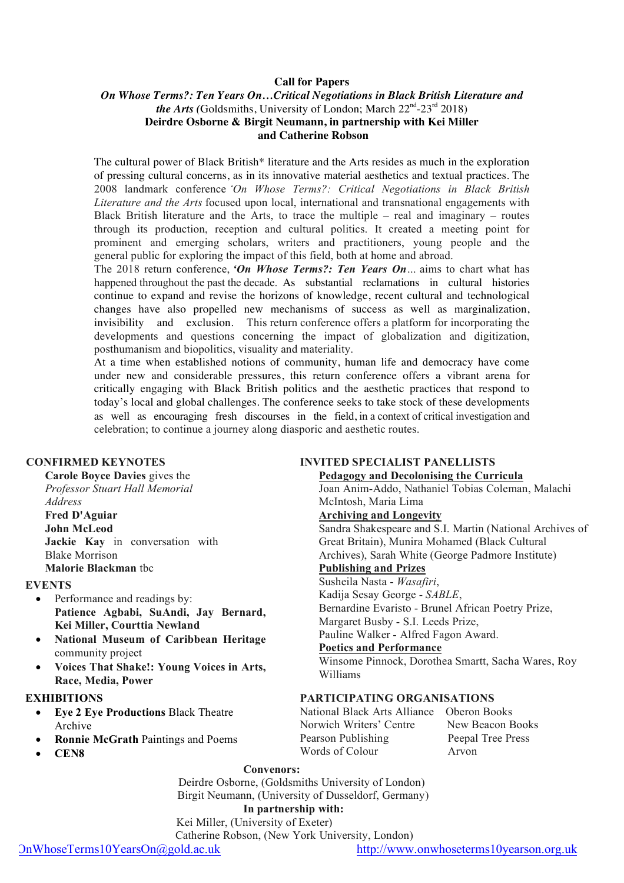## **Call for Papers**

## *On Whose Terms?: Ten Years On…Critical Negotiations in Black British Literature and the Arts* (Goldsmiths, University of London; March  $22^{nd}$ - $23^{rd}$   $2018$ ) **Deirdre Osborne & Birgit Neumann, in partnership with Kei Miller and Catherine Robson**

The cultural power of Black British\* literature and the Arts resides as much in the exploration of pressing cultural concerns, as in its innovative material aesthetics and textual practices. The 2008 landmark conference *'On Whose Terms?: Critical Negotiations in Black British Literature and the Arts* focused upon local, international and transnational engagements with Black British literature and the Arts, to trace the multiple – real and imaginary – routes through its production, reception and cultural politics. It created a meeting point for prominent and emerging scholars, writers and practitioners, young people and the general public for exploring the impact of this field, both at home and abroad.

The 2018 return conference, *'On Whose Terms?: Ten Years On…* aims to chart what has happened throughout the past the decade. As substantial reclamations in cultural histories continue to expand and revise the horizons of knowledge, recent cultural and technological changes have also propelled new mechanisms of success as well as marginalization, invisibility and exclusion. This return conference offers a platform for incorporating the developments and questions concerning the impact of globalization and digitization, posthumanism and biopolitics, visuality and materiality.

At a time when established notions of community, human life and democracy have come under new and considerable pressures, this return conference offers a vibrant arena for critically engaging with Black British politics and the aesthetic practices that respond to today's local and global challenges. The conference seeks to take stock of these developments as well as encouraging fresh discourses in the field, in a context of critical investigation and celebration; to continue a journey along diasporic and aesthetic routes.

## **CONFIRMED KEYNOTES**

**Carole Boyce Davies** gives the *Professor Stuart Hall Memorial Address* **Fred D'Aguiar John McLeod Jackie Kay** in conversation with Blake Morrison **Malorie Blackman** tbc

### **EVENTS**

- Performance and readings by: **Patience Agbabi, SuAndi, Jay Bernard, Kei Miller, Courttia Newland**
- **National Museum of Caribbean Heritage**  community project
- **Voices That Shake!: Young Voices in Arts, Race, Media, Power**

### **EXHIBITIONS**

- **Eye 2 Eye Productions** Black Theatre Archive
- **Ronnie McGrath** Paintings and Poems
- **CEN8**

## **INVITED SPECIALIST PANELLISTS**

**Pedagogy and Decolonising the Curricula**

Joan Anim-Addo, Nathaniel Tobias Coleman, Malachi McIntosh, Maria Lima **Archiving and Longevity**

Sandra Shakespeare and S.I. Martin (National Archives of Great Britain), Munira Mohamed (Black Cultural Archives), Sarah White (George Padmore Institute) **Publishing and Prizes** Susheila Nasta - *Wasafiri*, Kadija Sesay George - *SABLE*,

Bernardine Evaristo - Brunel African Poetry Prize, Margaret Busby - S.I. Leeds Prize,

Pauline Walker - Alfred Fagon Award.

## **Poetics and Performance**

Winsome Pinnock, Dorothea Smartt, Sacha Wares, Roy Williams

## **PARTICIPATING ORGANISATIONS**

National Black Arts Alliance Oberon Books Norwich Writers' Centre New Beacon Books Pearson Publishing Peepal Tree Press Words of Colour Arvon

## **Convenors:**

Deirdre Osborne, (Goldsmiths University of London) Birgit Neumann, (University of Dusseldorf, Germany)

# **In partnership with:**

Kei Miller, (University of Exeter)

Catherine Robson, (New York University, London)

OnWhoseTerms10YearsOn@gold.ac.uk http://www.onwhoseterms10yearson.org.uk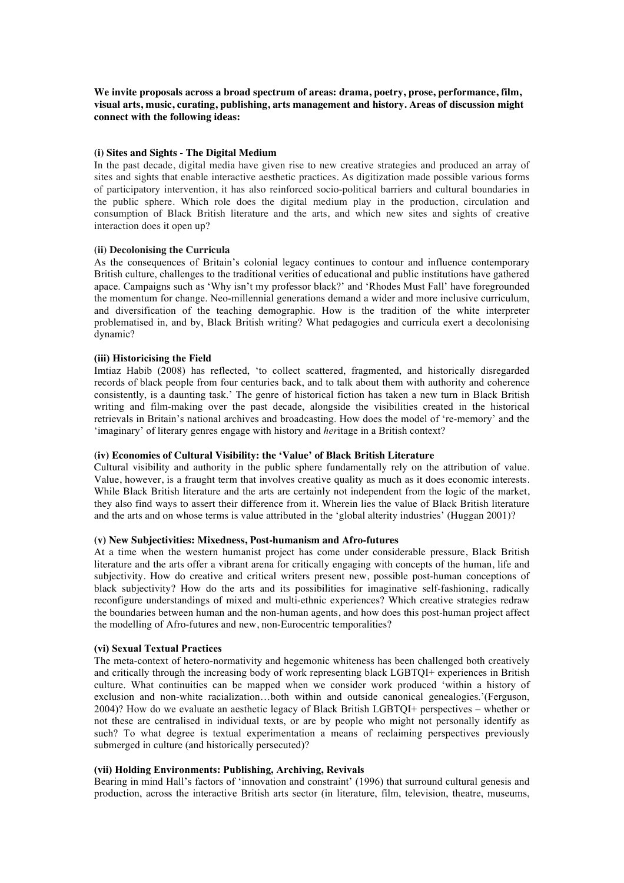**We invite proposals across a broad spectrum of areas: drama, poetry, prose, performance, film, visual arts, music, curating, publishing, arts management and history. Areas of discussion might connect with the following ideas:**

### **(i) Sites and Sights - The Digital Medium**

In the past decade, digital media have given rise to new creative strategies and produced an array of sites and sights that enable interactive aesthetic practices. As digitization made possible various forms of participatory intervention, it has also reinforced socio-political barriers and cultural boundaries in the public sphere. Which role does the digital medium play in the production, circulation and consumption of Black British literature and the arts, and which new sites and sights of creative interaction does it open up?

### **(ii) Decolonising the Curricula**

As the consequences of Britain's colonial legacy continues to contour and influence contemporary British culture, challenges to the traditional verities of educational and public institutions have gathered apace. Campaigns such as 'Why isn't my professor black?' and 'Rhodes Must Fall' have foregrounded the momentum for change. Neo-millennial generations demand a wider and more inclusive curriculum, and diversification of the teaching demographic. How is the tradition of the white interpreter problematised in, and by, Black British writing? What pedagogies and curricula exert a decolonising dynamic?

### **(iii) Historicising the Field**

Imtiaz Habib (2008) has reflected, 'to collect scattered, fragmented, and historically disregarded records of black people from four centuries back, and to talk about them with authority and coherence consistently, is a daunting task.' The genre of historical fiction has taken a new turn in Black British writing and film-making over the past decade, alongside the visibilities created in the historical retrievals in Britain's national archives and broadcasting. How does the model of 're-memory' and the 'imaginary' of literary genres engage with history and *her*itage in a British context?

### **(iv) Economies of Cultural Visibility: the 'Value' of Black British Literature**

Cultural visibility and authority in the public sphere fundamentally rely on the attribution of value. Value, however, is a fraught term that involves creative quality as much as it does economic interests. While Black British literature and the arts are certainly not independent from the logic of the market, they also find ways to assert their difference from it. Wherein lies the value of Black British literature and the arts and on whose terms is value attributed in the 'global alterity industries' (Huggan 2001)?

### **(v) New Subjectivities: Mixedness, Post-humanism and Afro-futures**

At a time when the western humanist project has come under considerable pressure, Black British literature and the arts offer a vibrant arena for critically engaging with concepts of the human, life and subjectivity. How do creative and critical writers present new, possible post-human conceptions of black subjectivity? How do the arts and its possibilities for imaginative self-fashioning, radically reconfigure understandings of mixed and multi-ethnic experiences? Which creative strategies redraw the boundaries between human and the non-human agents, and how does this post-human project affect the modelling of Afro-futures and new, non-Eurocentric temporalities?

### **(vi) Sexual Textual Practices**

The meta-context of hetero-normativity and hegemonic whiteness has been challenged both creatively and critically through the increasing body of work representing black LGBTQI+ experiences in British culture. What continuities can be mapped when we consider work produced 'within a history of exclusion and non-white racialization…both within and outside canonical genealogies.'(Ferguson, 2004)? How do we evaluate an aesthetic legacy of Black British LGBTQI+ perspectives – whether or not these are centralised in individual texts, or are by people who might not personally identify as such? To what degree is textual experimentation a means of reclaiming perspectives previously submerged in culture (and historically persecuted)?

### **(vii) Holding Environments: Publishing, Archiving, Revivals**

Bearing in mind Hall's factors of 'innovation and constraint' (1996) that surround cultural genesis and production, across the interactive British arts sector (in literature, film, television, theatre, museums,